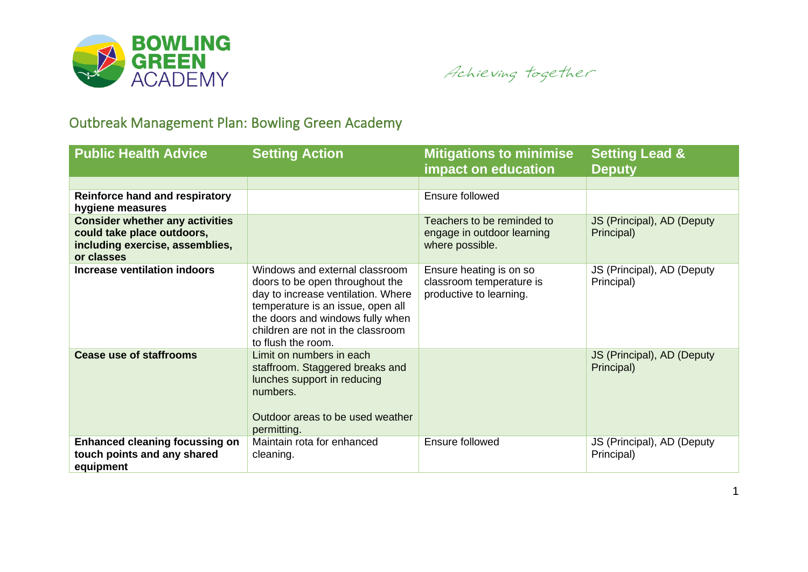

Achieving together

## Outbreak Management Plan: Bowling Green Academy

| <b>Public Health Advice</b>                                                                                           | <b>Setting Action</b>                                                                                                                                                                                                                       | <b>Mitigations to minimise</b><br>impact on education                          | <b>Setting Lead &amp;</b><br><b>Deputy</b> |
|-----------------------------------------------------------------------------------------------------------------------|---------------------------------------------------------------------------------------------------------------------------------------------------------------------------------------------------------------------------------------------|--------------------------------------------------------------------------------|--------------------------------------------|
|                                                                                                                       |                                                                                                                                                                                                                                             |                                                                                |                                            |
| <b>Reinforce hand and respiratory</b><br>hygiene measures                                                             |                                                                                                                                                                                                                                             | Ensure followed                                                                |                                            |
| <b>Consider whether any activities</b><br>could take place outdoors,<br>including exercise, assemblies,<br>or classes |                                                                                                                                                                                                                                             | Teachers to be reminded to<br>engage in outdoor learning<br>where possible.    | JS (Principal), AD (Deputy<br>Principal)   |
| Increase ventilation indoors                                                                                          | Windows and external classroom<br>doors to be open throughout the<br>day to increase ventilation. Where<br>temperature is an issue, open all<br>the doors and windows fully when<br>children are not in the classroom<br>to flush the room. | Ensure heating is on so<br>classroom temperature is<br>productive to learning. | JS (Principal), AD (Deputy<br>Principal)   |
| <b>Cease use of staffrooms</b>                                                                                        | Limit on numbers in each<br>staffroom. Staggered breaks and<br>lunches support in reducing<br>numbers.<br>Outdoor areas to be used weather<br>permitting.                                                                                   |                                                                                | JS (Principal), AD (Deputy<br>Principal)   |
| <b>Enhanced cleaning focussing on</b><br>touch points and any shared<br>equipment                                     | Maintain rota for enhanced<br>cleaning.                                                                                                                                                                                                     | Ensure followed                                                                | JS (Principal), AD (Deputy<br>Principal)   |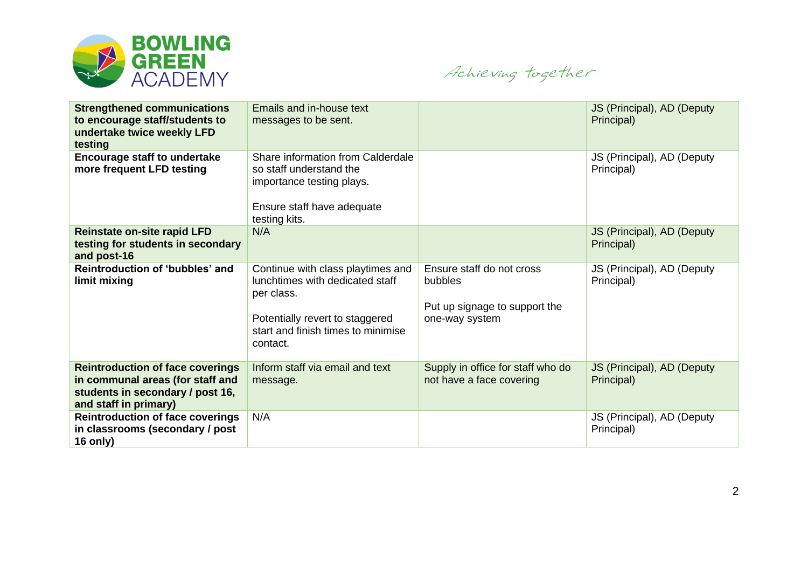

Achieving together

| <b>Strengthened communications</b><br>to encourage staff/students to<br>undertake twice weekly LFD<br>testing                            | Emails and in-house text<br>messages to be sent.                                                                                                                        |                                                                                         | JS (Principal), AD (Deputy<br>Principal) |
|------------------------------------------------------------------------------------------------------------------------------------------|-------------------------------------------------------------------------------------------------------------------------------------------------------------------------|-----------------------------------------------------------------------------------------|------------------------------------------|
| <b>Encourage staff to undertake</b><br>more frequent LFD testing                                                                         | Share information from Calderdale<br>so staff understand the<br>importance testing plays.<br>Ensure staff have adequate<br>testing kits.                                |                                                                                         | JS (Principal), AD (Deputy<br>Principal) |
| <b>Reinstate on-site rapid LFD</b><br>testing for students in secondary<br>and post-16                                                   | N/A                                                                                                                                                                     |                                                                                         | JS (Principal), AD (Deputy<br>Principal) |
| Reintroduction of 'bubbles' and<br>limit mixing                                                                                          | Continue with class playtimes and<br>lunchtimes with dedicated staff<br>per class.<br>Potentially revert to staggered<br>start and finish times to minimise<br>contact. | Ensure staff do not cross<br>bubbles<br>Put up signage to support the<br>one-way system | JS (Principal), AD (Deputy<br>Principal) |
| <b>Reintroduction of face coverings</b><br>in communal areas (for staff and<br>students in secondary / post 16,<br>and staff in primary) | Inform staff via email and text<br>message.                                                                                                                             | Supply in office for staff who do<br>not have a face covering                           | JS (Principal), AD (Deputy<br>Principal) |
| <b>Reintroduction of face coverings</b><br>in classrooms (secondary / post<br>16 only)                                                   | N/A                                                                                                                                                                     |                                                                                         | JS (Principal), AD (Deputy<br>Principal) |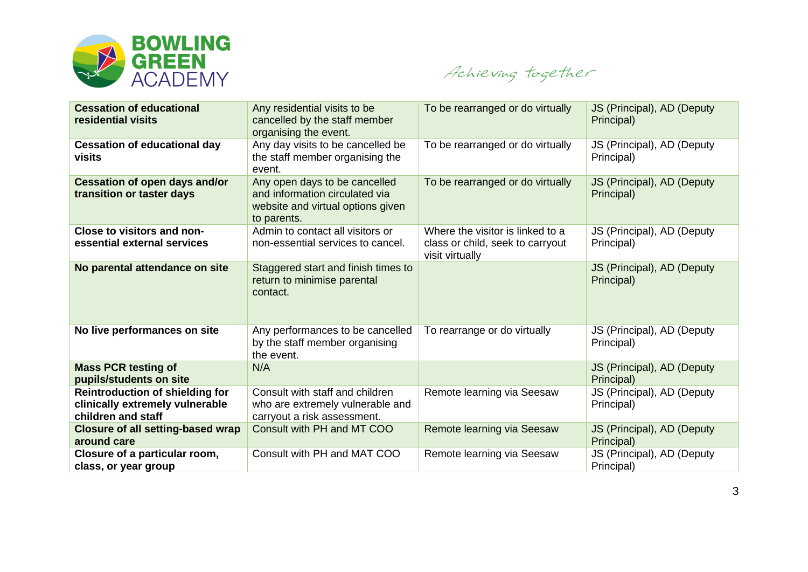

Achieving together

| <b>Cessation of educational</b><br>residential visits                                           | Any residential visits to be<br>cancelled by the staff member<br>organising the event.                              | To be rearranged or do virtually                                                        | JS (Principal), AD (Deputy<br>Principal) |
|-------------------------------------------------------------------------------------------------|---------------------------------------------------------------------------------------------------------------------|-----------------------------------------------------------------------------------------|------------------------------------------|
| <b>Cessation of educational day</b><br>visits                                                   | Any day visits to be cancelled be<br>the staff member organising the<br>event.                                      | To be rearranged or do virtually                                                        | JS (Principal), AD (Deputy<br>Principal) |
| <b>Cessation of open days and/or</b><br>transition or taster days                               | Any open days to be cancelled<br>and information circulated via<br>website and virtual options given<br>to parents. | To be rearranged or do virtually                                                        | JS (Principal), AD (Deputy<br>Principal) |
| Close to visitors and non-<br>essential external services                                       | Admin to contact all visitors or<br>non-essential services to cancel.                                               | Where the visitor is linked to a<br>class or child, seek to carryout<br>visit virtually | JS (Principal), AD (Deputy<br>Principal) |
| No parental attendance on site                                                                  | Staggered start and finish times to<br>return to minimise parental<br>contact.                                      |                                                                                         | JS (Principal), AD (Deputy<br>Principal) |
| No live performances on site                                                                    | Any performances to be cancelled<br>by the staff member organising<br>the event.                                    | To rearrange or do virtually                                                            | JS (Principal), AD (Deputy<br>Principal) |
| <b>Mass PCR testing of</b><br>pupils/students on site                                           | N/A                                                                                                                 |                                                                                         | JS (Principal), AD (Deputy<br>Principal) |
| <b>Reintroduction of shielding for</b><br>clinically extremely vulnerable<br>children and staff | Consult with staff and children<br>who are extremely vulnerable and<br>carryout a risk assessment.                  | Remote learning via Seesaw                                                              | JS (Principal), AD (Deputy<br>Principal) |
| <b>Closure of all setting-based wrap</b><br>around care                                         | Consult with PH and MT COO                                                                                          | Remote learning via Seesaw                                                              | JS (Principal), AD (Deputy<br>Principal) |
| Closure of a particular room,<br>class, or year group                                           | Consult with PH and MAT COO                                                                                         | Remote learning via Seesaw                                                              | JS (Principal), AD (Deputy<br>Principal) |